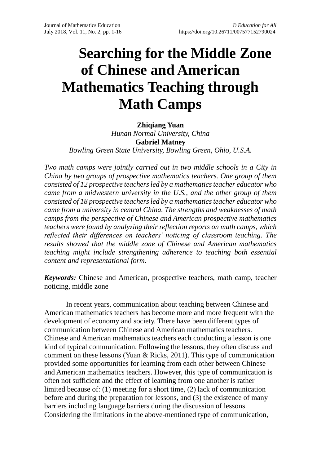# **Searching for the Middle Zone of Chinese and American Mathematics Teaching through Math Camps**

**Zhiqiang Yuan** *Hunan Normal University, China* **Gabriel Matney** *Bowling Green State University, Bowling Green, Ohio, U.S.A.*

*Two math camps were jointly carried out in two middle schools in a City in China by two groups of prospective mathematics teachers. One group of them consisted of 12 prospective teachers led by a mathematics teacher educator who came from a midwestern university in the U.S., and the other group of them consisted of 18 prospective teachers led by a mathematics teacher educator who came from a university in central China. The strengths and weaknesses of math camps from the perspective of Chinese and American prospective mathematics teachers were found by analyzing their reflection reports on math camps, which reflected their differences on teachers' noticing of classroom teaching. The results showed that the middle zone of Chinese and American mathematics teaching might include strengthening adherence to teaching both essential content and representational form*.

*Keywords:* Chinese and American, prospective teachers, math camp, teacher noticing, middle zone

In recent years, communication about teaching between Chinese and American mathematics teachers has become more and more frequent with the development of economy and society. There have been different types of communication between Chinese and American mathematics teachers. Chinese and American mathematics teachers each conducting a lesson is one kind of typical communication. Following the lessons, they often discuss and comment on these lessons (Yuan & Ricks, 2011). This type of communication provided some opportunities for learning from each other between Chinese and American mathematics teachers. However, this type of communication is often not sufficient and the effect of learning from one another is rather limited because of: (1) meeting for a short time, (2) lack of communication before and during the preparation for lessons, and (3) the existence of many barriers including language barriers during the discussion of lessons. Considering the limitations in the above-mentioned type of communication,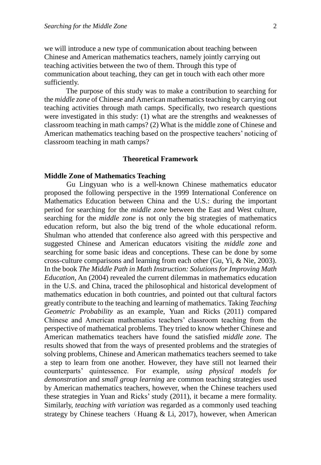we will introduce a new type of communication about teaching between Chinese and American mathematics teachers, namely jointly carrying out teaching activities between the two of them. Through this type of communication about teaching, they can get in touch with each other more sufficiently.

The purpose of this study was to make a contribution to searching for the *middle zone* of Chinese and American mathematics teaching by carrying out teaching activities through math camps. Specifically, two research questions were investigated in this study: (1) what are the strengths and weaknesses of classroom teaching in math camps? (2) What is the middle zone of Chinese and American mathematics teaching based on the prospective teachers' noticing of classroom teaching in math camps?

# **Theoretical Framework**

## **Middle Zone of Mathematics Teaching**

Gu Lingyuan who is a well-known Chinese mathematics educator proposed the following perspective in the 1999 International Conference on Mathematics Education between China and the U.S.: during the important period for searching for the *middle zone* between the East and West culture, searching for the *middle zone* is not only the big strategies of mathematics education reform, but also the big trend of the whole educational reform. Shulman who attended that conference also agreed with this perspective and suggested Chinese and American educators visiting the *middle zone* and searching for some basic ideas and conceptions. These can be done by some cross-culture comparisons and learning from each other (Gu, Yi, & Nie, 2003). In the book *The Middle Path in Math Instruction: Solutions for Improving Math Education*, An (2004) revealed the current dilemmas in mathematics education in the U.S. and China, traced the philosophical and historical development of mathematics education in both countries, and pointed out that cultural factors greatly contribute to the teaching and learning of mathematics. Taking *Teaching Geometric Probability* as an example, Yuan and Ricks (2011) compared Chinese and American mathematics teachers' classroom teaching from the perspective of mathematical problems. They tried to know whether Chinese and American mathematics teachers have found the satisfied *middle zone.* The results showed that from the ways of presented problems and the strategies of solving problems, Chinese and American mathematics teachers seemed to take a step to learn from one another. However, they have still not learned their counterparts' quintessence. For example, *using physical models for demonstration* and *small group learning* are common teaching strategies used by American mathematics teachers, however, when the Chinese teachers used these strategies in Yuan and Ricks' study (2011), it became a mere formality. Similarly, *teaching with variation* was regarded as a commonly used teaching strategy by Chinese teachers (Huang  $&$  Li, 2017), however, when American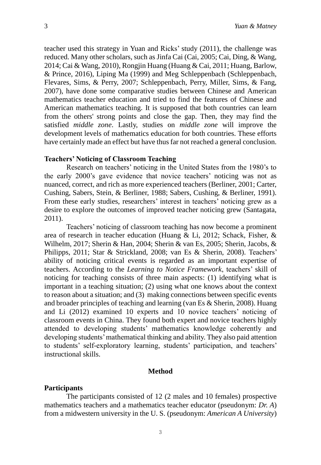teacher used this strategy in Yuan and Ricks' study (2011), the challenge was reduced. Many other scholars, such as Jinfa Cai (Cai, 2005; Cai, Ding, & Wang, 2014; Cai & Wang, 2010), Rongjin Huang (Huang & Cai, 2011; Huang, Barlow, & Prince, 2016), Liping Ma (1999) and Meg Schleppenbach (Schleppenbach, Flevares, Sims, & Perry, 2007; Schleppenbach, Perry, Miller, Sims, & Fang, 2007), have done some comparative studies between Chinese and American mathematics teacher education and tried to find the features of Chinese and American mathematics teaching. It is supposed that both countries can learn from the others' strong points and close the gap. Then, they may find the satisfied *middle zone*. Lastly, studies on *middle zone* will improve the development levels of mathematics education for both countries. These efforts have certainly made an effect but have thus far not reached a general conclusion.

# **Teachers' Noticing of Classroom Teaching**

Research on teachers' noticing in the United States from the 1980's to the early 2000's gave evidence that novice teachers' noticing was not as nuanced, correct, and rich as more experienced teachers (Berliner, 2001; Carter, Cushing, Sabers, Stein, & Berliner, 1988; Sabers, Cushing, & Berliner, 1991). From these early studies, researchers' interest in teachers' noticing grew as a desire to explore the outcomes of improved teacher noticing grew (Santagata, 2011).

Teachers' noticing of classroom teaching has now become a prominent area of research in teacher education (Huang & Li, 2012; Schack, Fisher, & Wilhelm, 2017; Sherin & Han, 2004; Sherin & van Es, 2005; Sherin, Jacobs, & Philipps, 2011; Star & Strickland, 2008; van Es & Sherin, 2008). Teachers' ability of noticing critical events is regarded as an important expertise of teachers. According to the *Learning to Notice Framework*, teachers' skill of noticing for teaching consists of three main aspects: (1) identifying what is important in a teaching situation; (2) using what one knows about the context to reason about a situation; and (3) making connections between specific events and broader principles of teaching and learning (van Es & Sherin, 2008). Huang and Li (2012) examined 10 experts and 10 novice teachers' noticing of classroom events in China. They found both expert and novice teachers highly attended to developing students' mathematics knowledge coherently and developing students' mathematical thinking and ability. They also paid attention to students' self-exploratory learning, students' participation, and teachers' instructional skills.

# **Method**

# **Participants**

The participants consisted of 12 (2 males and 10 females) prospective mathematics teachers and a mathematics teacher educator (pseudonym: *Dr. A*) from a midwestern university in the U. S. (pseudonym: *American A University*)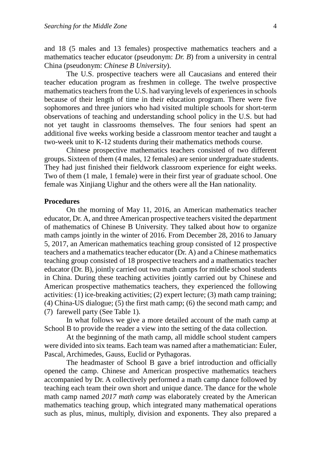and 18 (5 males and 13 females) prospective mathematics teachers and a mathematics teacher educator (pseudonym: *Dr. B*) from a university in central China (pseudonym: *Chinese B University*).

The U.S. prospective teachers were all Caucasians and entered their teacher education program as freshmen in college. The twelve prospective mathematics teachers from the U.S. had varying levels of experiences in schools because of their length of time in their education program. There were five sophomores and three juniors who had visited multiple schools for short-term observations of teaching and understanding school policy in the U.S. but had not yet taught in classrooms themselves. The four seniors had spent an additional five weeks working beside a classroom mentor teacher and taught a two-week unit to K-12 students during their mathematics methods course.

Chinese prospective mathematics teachers consisted of two different groups. Sixteen of them (4 males, 12 females) are senior undergraduate students. They had just finished their fieldwork classroom experience for eight weeks. Two of them (1 male, 1 female) were in their first year of graduate school. One female was Xinjiang Uighur and the others were all the Han nationality.

# **Procedures**

On the morning of May 11, 2016, an American mathematics teacher educator, Dr. A, and three American prospective teachers visited the department of mathematics of Chinese B University. They talked about how to organize math camps jointly in the winter of 2016. From December 28, 2016 to January 5, 2017, an American mathematics teaching group consisted of 12 prospective teachers and a mathematics teacher educator (Dr. A) and a Chinese mathematics teaching group consisted of 18 prospective teachers and a mathematics teacher educator (Dr. B), jointly carried out two math camps for middle school students in China. During these teaching activities jointly carried out by Chinese and American prospective mathematics teachers, they experienced the following activities: (1) ice-breaking activities; (2) expert lecture; (3) math camp training; (4) China-US dialogue; (5) the first math camp; (6) the second math camp; and (7) farewell party (See Table 1).

In what follows we give a more detailed account of the math camp at School B to provide the reader a view into the setting of the data collection.

At the beginning of the math camp, all middle school student campers were divided into six teams. Each team was named after a mathematician: Euler, Pascal, Archimedes, Gauss, Euclid or Pythagoras.

The headmaster of School B gave a brief introduction and officially opened the camp. Chinese and American prospective mathematics teachers accompanied by Dr. A collectively performed a math camp dance followed by teaching each team their own short and unique dance. The dance for the whole math camp named *2017 math camp* was elaborately created by the American mathematics teaching group, which integrated many mathematical operations such as plus, minus, multiply, division and exponents. They also prepared a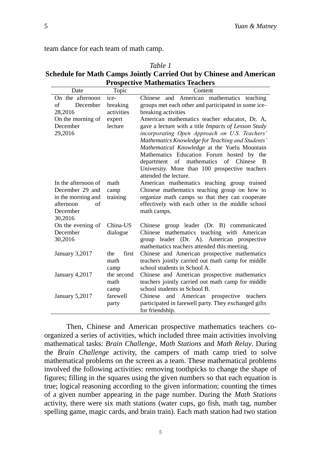team dance for each team of math camp.

| Table T                                                             |
|---------------------------------------------------------------------|
| Schedule for Math Camps Jointly Carried Out by Chinese and American |
| <b>Prospective Mathematics Teachers</b>                             |

*Table 1*

| On the afternoon                                                                                                                                                                                                    |
|---------------------------------------------------------------------------------------------------------------------------------------------------------------------------------------------------------------------|
|                                                                                                                                                                                                                     |
| December                                                                                                                                                                                                            |
| 28,2016                                                                                                                                                                                                             |
| On the morning of                                                                                                                                                                                                   |
| December                                                                                                                                                                                                            |
|                                                                                                                                                                                                                     |
|                                                                                                                                                                                                                     |
|                                                                                                                                                                                                                     |
|                                                                                                                                                                                                                     |
|                                                                                                                                                                                                                     |
|                                                                                                                                                                                                                     |
|                                                                                                                                                                                                                     |
|                                                                                                                                                                                                                     |
|                                                                                                                                                                                                                     |
|                                                                                                                                                                                                                     |
|                                                                                                                                                                                                                     |
|                                                                                                                                                                                                                     |
|                                                                                                                                                                                                                     |
|                                                                                                                                                                                                                     |
|                                                                                                                                                                                                                     |
|                                                                                                                                                                                                                     |
|                                                                                                                                                                                                                     |
|                                                                                                                                                                                                                     |
|                                                                                                                                                                                                                     |
|                                                                                                                                                                                                                     |
|                                                                                                                                                                                                                     |
|                                                                                                                                                                                                                     |
|                                                                                                                                                                                                                     |
|                                                                                                                                                                                                                     |
|                                                                                                                                                                                                                     |
| 29,2016<br>In the afternoon of<br>December 29 and<br>in the morning and<br>afternoon<br>of<br>December<br>30,2016<br>On the evening of<br>December<br>30,2016<br>January 3,2017<br>January 4,2017<br>January 5,2017 |

Then, Chinese and American prospective mathematics teachers coorganized a series of activities, which included three main activities involving mathematical tasks: *Brain Challenge*, *Math Stations* and *Math Relay*. During the *Brain Challenge* activity, the campers of math camp tried to solve mathematical problems on the screen as a team. These mathematical problems involved the following activities: removing toothpicks to change the shape of figures; filling in the squares using the given numbers so that each equation is true; logical reasoning according to the given information; counting the times of a given number appearing in the page number. During the *Math Stations* activity, there were six math stations (water cups, go fish, math tag, number spelling game, magic cards, and brain train). Each math station had two station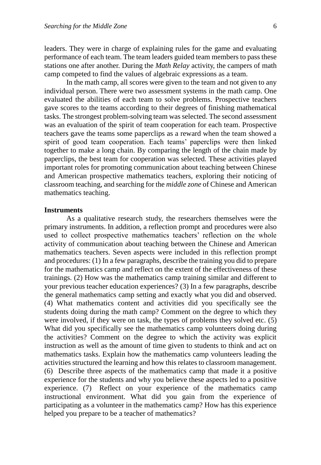leaders. They were in charge of explaining rules for the game and evaluating performance of each team. The team leaders guided team members to pass these stations one after another. During the *Math Relay* activity, the campers of math camp competed to find the values of algebraic expressions as a team.

In the math camp, all scores were given to the team and not given to any individual person. There were two assessment systems in the math camp. One evaluated the abilities of each team to solve problems. Prospective teachers gave scores to the teams according to their degrees of finishing mathematical tasks. The strongest problem-solving team was selected. The second assessment was an evaluation of the spirit of team cooperation for each team. Prospective teachers gave the teams some paperclips as a reward when the team showed a spirit of good team cooperation. Each teams' paperclips were then linked together to make a long chain. By comparing the length of the chain made by paperclips, the best team for cooperation was selected. These activities played important roles for promoting communication about teaching between Chinese and American prospective mathematics teachers, exploring their noticing of classroom teaching, and searching for the *middle zone* of Chinese and American mathematics teaching.

# **Instruments**

As a qualitative research study, the researchers themselves were the primary instruments. In addition, a reflection prompt and procedures were also used to collect prospective mathematics teachers' reflection on the whole activity of communication about teaching between the Chinese and American mathematics teachers. Seven aspects were included in this reflection prompt and procedures: (1) In a few paragraphs, describe the training you did to prepare for the mathematics camp and reflect on the extent of the effectiveness of these trainings. (2) How was the mathematics camp training similar and different to your previous teacher education experiences? (3) In a few paragraphs, describe the general mathematics camp setting and exactly what you did and observed. (4) What mathematics content and activities did you specifically see the students doing during the math camp? Comment on the degree to which they were involved, if they were on task, the types of problems they solved etc. (5) What did you specifically see the mathematics camp volunteers doing during the activities? Comment on the degree to which the activity was explicit instruction as well as the amount of time given to students to think and act on mathematics tasks. Explain how the mathematics camp volunteers leading the activities structured the learning and how this relates to classroom management. (6) Describe three aspects of the mathematics camp that made it a positive experience for the students and why you believe these aspects led to a positive experience. (7) Reflect on your experience of the mathematics camp instructional environment. What did you gain from the experience of participating as a volunteer in the mathematics camp? How has this experience helped you prepare to be a teacher of mathematics?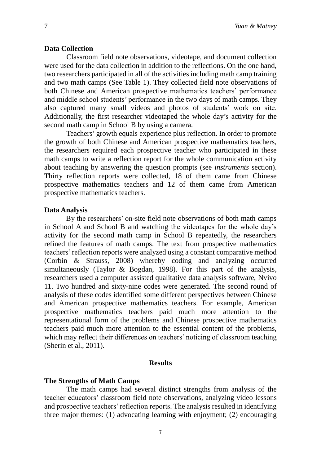# **Data Collection**

Classroom field note observations, videotape, and document collection were used for the data collection in addition to the reflections. On the one hand, two researchers participated in all of the activities including math camp training and two math camps (See Table 1). They collected field note observations of both Chinese and American prospective mathematics teachers' performance and middle school students' performance in the two days of math camps. They also captured many small videos and photos of students' work on site. Additionally, the first researcher videotaped the whole day's activity for the second math camp in School B by using a camera.

Teachers' growth equals experience plus reflection. In order to promote the growth of both Chinese and American prospective mathematics teachers, the researchers required each prospective teacher who participated in these math camps to write a reflection report for the whole communication activity about teaching by answering the question prompts (see *instruments* section). Thirty reflection reports were collected, 18 of them came from Chinese prospective mathematics teachers and 12 of them came from American prospective mathematics teachers.

#### **Data Analysis**

By the researchers' on-site field note observations of both math camps in School A and School B and watching the videotapes for the whole day's activity for the second math camp in School B repeatedly, the researchers refined the features of math camps. The text from prospective mathematics teachers' reflection reports were analyzed using a constant comparative method (Corbin & Strauss, 2008) whereby coding and analyzing occurred simultaneously (Taylor & Bogdan, 1998). For this part of the analysis, researchers used a computer assisted qualitative data analysis software, Nvivo 11. Two hundred and sixty-nine codes were generated. The second round of analysis of these codes identified some different perspectives between Chinese and American prospective mathematics teachers. For example, American prospective mathematics teachers paid much more attention to the representational form of the problems and Chinese prospective mathematics teachers paid much more attention to the essential content of the problems, which may reflect their differences on teachers' noticing of classroom teaching (Sherin et al., 2011).

# **Results**

# **The Strengths of Math Camps**

The math camps had several distinct strengths from analysis of the teacher educators' classroom field note observations, analyzing video lessons and prospective teachers' reflection reports. The analysis resulted in identifying three major themes: (1) advocating learning with enjoyment; (2) encouraging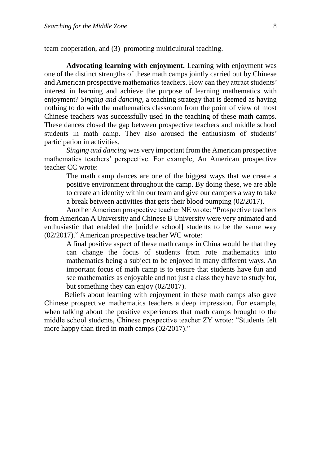team cooperation, and (3) promoting multicultural teaching.

**Advocating learning with enjoyment.** Learning with enjoyment was one of the distinct strengths of these math camps jointly carried out by Chinese and American prospective mathematics teachers. How can they attract students' interest in learning and achieve the purpose of learning mathematics with enjoyment? *Singing and dancing*, a teaching strategy that is deemed as having nothing to do with the mathematics classroom from the point of view of most Chinese teachers was successfully used in the teaching of these math camps. These dances closed the gap between prospective teachers and middle school students in math camp. They also aroused the enthusiasm of students' participation in activities.

*Singing and dancing* was very important from the American prospective mathematics teachers' perspective. For example, An American prospective teacher CC wrote:

The math camp dances are one of the biggest ways that we create a positive environment throughout the camp. By doing these, we are able to create an identity within our team and give our campers a way to take a break between activities that gets their blood pumping (02/2017).

Another American prospective teacher NE wrote: "Prospective teachers from American A University and Chinese B University were very animated and enthusiastic that enabled the [middle school] students to be the same way (02/2017)." American prospective teacher WC wrote:

A final positive aspect of these math camps in China would be that they can change the focus of students from rote mathematics into mathematics being a subject to be enjoyed in many different ways. An important focus of math camp is to ensure that students have fun and see mathematics as enjoyable and not just a class they have to study for, but something they can enjoy (02/2017).

 Beliefs about learning with enjoyment in these math camps also gave Chinese prospective mathematics teachers a deep impression. For example, when talking about the positive experiences that math camps brought to the middle school students, Chinese prospective teacher ZY wrote: "Students felt more happy than tired in math camps (02/2017)."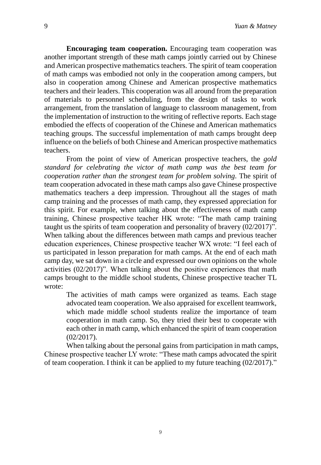**Encouraging team cooperation.** Encouraging team cooperation was another important strength of these math camps jointly carried out by Chinese and American prospective mathematics teachers. The spirit of team cooperation of math camps was embodied not only in the cooperation among campers, but also in cooperation among Chinese and American prospective mathematics teachers and their leaders. This cooperation was all around from the preparation of materials to personnel scheduling, from the design of tasks to work arrangement, from the translation of language to classroom management, from the implementation of instruction to the writing of reflective reports. Each stage embodied the effects of cooperation of the Chinese and American mathematics teaching groups. The successful implementation of math camps brought deep influence on the beliefs of both Chinese and American prospective mathematics teachers.

From the point of view of American prospective teachers, the *gold standard for celebrating the victor of math camp was the best team for cooperation rather than the strongest team for problem solving*. The spirit of team cooperation advocated in these math camps also gave Chinese prospective mathematics teachers a deep impression. Throughout all the stages of math camp training and the processes of math camp, they expressed appreciation for this spirit. For example, when talking about the effectiveness of math camp training, Chinese prospective teacher HK wrote: "The math camp training taught us the spirits of team cooperation and personality of bravery (02/2017)". When talking about the differences between math camps and previous teacher education experiences, Chinese prospective teacher WX wrote: "I feel each of us participated in lesson preparation for math camps. At the end of each math camp day, we sat down in a circle and expressed our own opinions on the whole activities (02/2017)". When talking about the positive experiences that math camps brought to the middle school students, Chinese prospective teacher TL wrote:

The activities of math camps were organized as teams. Each stage advocated team cooperation. We also appraised for excellent teamwork, which made middle school students realize the importance of team cooperation in math camp. So, they tried their best to cooperate with each other in math camp, which enhanced the spirit of team cooperation (02/2017).

When talking about the personal gains from participation in math camps, Chinese prospective teacher LY wrote: "These math camps advocated the spirit of team cooperation. I think it can be applied to my future teaching (02/2017)."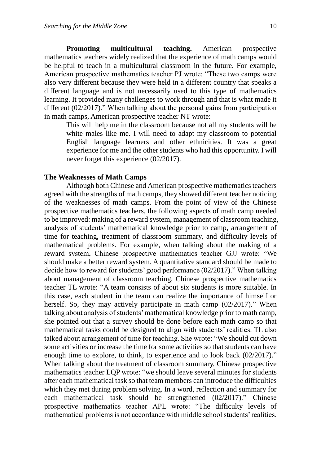**Promoting multicultural teaching.** American prospective mathematics teachers widely realized that the experience of math camps would be helpful to teach in a multicultural classroom in the future. For example, American prospective mathematics teacher PJ wrote: "These two camps were also very different because they were held in a different country that speaks a different language and is not necessarily used to this type of mathematics learning. It provided many challenges to work through and that is what made it different (02/2017)." When talking about the personal gains from participation in math camps, American prospective teacher NT wrote:

This will help me in the classroom because not all my students will be white males like me. I will need to adapt my classroom to potential English language learners and other ethnicities. It was a great experience for me and the other students who had this opportunity. I will never forget this experience (02/2017).

#### **The Weaknesses of Math Camps**

Although both Chinese and American prospective mathematics teachers agreed with the strengths of math camps, they showed different teacher noticing of the weaknesses of math camps. From the point of view of the Chinese prospective mathematics teachers, the following aspects of math camp needed to be improved: making of a reward system, management of classroom teaching, analysis of students' mathematical knowledge prior to camp, arrangement of time for teaching, treatment of classroom summary, and difficulty levels of mathematical problems. For example, when talking about the making of a reward system, Chinese prospective mathematics teacher GJJ wrote: "We should make a better reward system. A quantitative standard should be made to decide how to reward for students' good performance (02/2017)." When talking about management of classroom teaching, Chinese prospective mathematics teacher TL wrote: "A team consists of about six students is more suitable. In this case, each student in the team can realize the importance of himself or herself. So, they may actively participate in math camp (02/2017)." When talking about analysis of students' mathematical knowledge prior to math camp, she pointed out that a survey should be done before each math camp so that mathematical tasks could be designed to align with students' realities. TL also talked about arrangement of time for teaching. She wrote: "We should cut down some activities or increase the time for some activities so that students can have enough time to explore, to think, to experience and to look back (02/2017)." When talking about the treatment of classroom summary, Chinese prospective mathematics teacher LQP wrote: "we should leave several minutes for students after each mathematical task so that team members can introduce the difficulties which they met during problem solving. In a word, reflection and summary for each mathematical task should be strengthened (02/2017)." Chinese prospective mathematics teacher APL wrote: "The difficulty levels of mathematical problems is not accordance with middle school students' realities.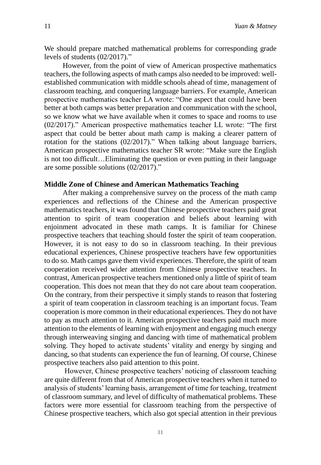We should prepare matched mathematical problems for corresponding grade levels of students (02/2017)."

However, from the point of view of American prospective mathematics teachers, the following aspects of math camps also needed to be improved: wellestablished communication with middle schools ahead of time, management of classroom teaching, and conquering language barriers. For example, American prospective mathematics teacher LA wrote: "One aspect that could have been better at both camps was better preparation and communication with the school, so we know what we have available when it comes to space and rooms to use (02/2017)." American prospective mathematics teacher LL wrote: "The first aspect that could be better about math camp is making a clearer pattern of rotation for the stations (02/2017)." When talking about language barriers, American prospective mathematics teacher SR wrote: "Make sure the English is not too difficult…Eliminating the question or even putting in their language are some possible solutions (02/2017)."

# **Middle Zone of Chinese and American Mathematics Teaching**

After making a comprehensive survey on the process of the math camp experiences and reflections of the Chinese and the American prospective mathematics teachers, it was found that Chinese prospective teachers paid great attention to spirit of team cooperation and beliefs about learning with enjoinment advocated in these math camps. It is familiar for Chinese prospective teachers that teaching should foster the spirit of team cooperation. However, it is not easy to do so in classroom teaching. In their previous educational experiences, Chinese prospective teachers have few opportunities to do so. Math camps gave them vivid experiences. Therefore, the spirit of team cooperation received wider attention from Chinese prospective teachers. In contrast, American prospective teachers mentioned only a little of spirit of team cooperation. This does not mean that they do not care about team cooperation. On the contrary, from their perspective it simply stands to reason that fostering a spirit of team cooperation in classroom teaching is an important focus. Team cooperation is more common in their educational experiences. They do not have to pay as much attention to it. American prospective teachers paid much more attention to the elements of learning with enjoyment and engaging much energy through interweaving singing and dancing with time of mathematical problem solving. They hoped to activate students' vitality and energy by singing and dancing, so that students can experience the fun of learning. Of course, Chinese prospective teachers also paid attention to this point.

However, Chinese prospective teachers' noticing of classroom teaching are quite different from that of American prospective teachers when it turned to analysis of students' learning basis, arrangement of time for teaching, treatment of classroom summary, and level of difficulty of mathematical problems. These factors were more essential for classroom teaching from the perspective of Chinese prospective teachers, which also got special attention in their previous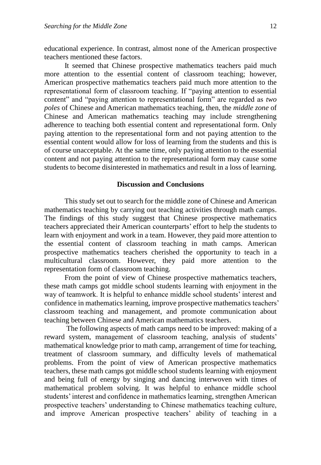educational experience. In contrast, almost none of the American prospective teachers mentioned these factors.

It seemed that Chinese prospective mathematics teachers paid much more attention to the essential content of classroom teaching; however, American prospective mathematics teachers paid much more attention to the representational form of classroom teaching. If "paying attention to essential content" and "paying attention to representational form" are regarded as *two poles* of Chinese and American mathematics teaching, then, the *middle zone* of Chinese and American mathematics teaching may include strengthening adherence to teaching both essential content and representational form. Only paying attention to the representational form and not paying attention to the essential content would allow for loss of learning from the students and this is of course unacceptable. At the same time, only paying attention to the essential content and not paying attention to the representational form may cause some students to become disinterested in mathematics and result in a loss of learning.

# **Discussion and Conclusions**

This study set out to search for the middle zone of Chinese and American mathematics teaching by carrying out teaching activities through math camps. The findings of this study suggest that Chinese prospective mathematics teachers appreciated their American counterparts' effort to help the students to learn with enjoyment and work in a team. However, they paid more attention to the essential content of classroom teaching in math camps. American prospective mathematics teachers cherished the opportunity to teach in a multicultural classroom. However, they paid more attention to the representation form of classroom teaching.

From the point of view of Chinese prospective mathematics teachers, these math camps got middle school students learning with enjoyment in the way of teamwork. It is helpful to enhance middle school students' interest and confidence in mathematics learning, improve prospective mathematics teachers' classroom teaching and management, and promote communication about teaching between Chinese and American mathematics teachers.

The following aspects of math camps need to be improved: making of a reward system, management of classroom teaching, analysis of students' mathematical knowledge prior to math camp, arrangement of time for teaching, treatment of classroom summary, and difficulty levels of mathematical problems. From the point of view of American prospective mathematics teachers, these math camps got middle school students learning with enjoyment and being full of energy by singing and dancing interwoven with times of mathematical problem solving. It was helpful to enhance middle school students' interest and confidence in mathematics learning, strengthen American prospective teachers' understanding to Chinese mathematics teaching culture, and improve American prospective teachers' ability of teaching in a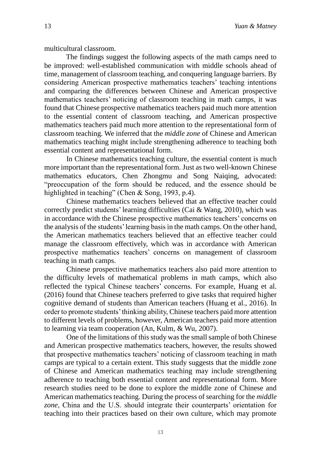multicultural classroom.

The findings suggest the following aspects of the math camps need to be improved: well-established communication with middle schools ahead of time, management of classroom teaching, and conquering language barriers. By considering American prospective mathematics teachers' teaching intentions and comparing the differences between Chinese and American prospective mathematics teachers' noticing of classroom teaching in math camps, it was found that Chinese prospective mathematics teachers paid much more attention to the essential content of classroom teaching, and American prospective mathematics teachers paid much more attention to the representational form of classroom teaching. We inferred that the *middle zone* of Chinese and American mathematics teaching might include strengthening adherence to teaching both essential content and representational form.

In Chinese mathematics teaching culture, the essential content is much more important than the representational form. Just as two well-known Chinese mathematics educators, Chen Zhongmu and Song Naiqing, advocated: "preoccupation of the form should be reduced, and the essence should be highlighted in teaching" (Chen & Song, 1993, p.4).

Chinese mathematics teachers believed that an effective teacher could correctly predict students' learning difficulties (Cai & Wang, 2010), which was in accordance with the Chinese prospective mathematics teachers' concerns on the analysis of the students' learning basis in the math camps. On the other hand, the American mathematics teachers believed that an effective teacher could manage the classroom effectively, which was in accordance with American prospective mathematics teachers' concerns on management of classroom teaching in math camps.

Chinese prospective mathematics teachers also paid more attention to the difficulty levels of mathematical problems in math camps, which also reflected the typical Chinese teachers' concerns. For example, Huang et al. (2016) found that Chinese teachers preferred to give tasks that required higher cognitive demand of students than American teachers (Huang et al., 2016). In order to promote students' thinking ability, Chinese teachers paid more attention to different levels of problems, however, American teachers paid more attention to learning via team cooperation (An, Kulm, & Wu, 2007).

One of the limitations of this study was the small sample of both Chinese and American prospective mathematics teachers, however, the results showed that prospective mathematics teachers' noticing of classroom teaching in math camps are typical to a certain extent. This study suggests that the middle zone of Chinese and American mathematics teaching may include strengthening adherence to teaching both essential content and representational form. More research studies need to be done to explore the middle zone of Chinese and American mathematics teaching. During the process of searching for the *middle zone*, China and the U.S. should integrate their counterparts' orientation for teaching into their practices based on their own culture, which may promote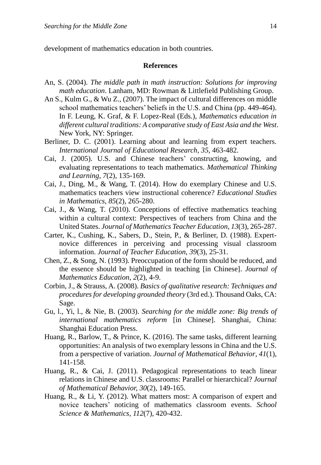development of mathematics education in both countries.

#### **References**

- An, S. (2004). *The middle path in math instruction: Solutions for improving math education*. Lanham, MD: Rowman & Littlefield Publishing Group.
- An S., Kulm G., & Wu Z., (2007). The impact of cultural differences on middle school mathematics teachers' beliefs in the U.S. and China (pp. 449-464). In F. Leung, K. Graf, & F. Lopez-Real (Eds.), *Mathematics education in different cultural traditions: A comparative study of East Asia and the West*. New York, NY: Springer.
- Berliner, D. C. (2001). Learning about and learning from expert teachers. *International Journal of Educational Research*, *35*, 463-482.
- Cai, J. (2005). U.S. and Chinese teachers' constructing, knowing, and evaluating representations to teach mathematics. *Mathematical Thinking and Learning*, *7*(2), 135-169.
- Cai, J., Ding, M., & Wang, T. (2014). How do exemplary Chinese and U.S. mathematics teachers view instructional coherence? *Educational Studies in Mathematics*, *85*(2), 265-280.
- Cai, J., & Wang, T. (2010). Conceptions of effective mathematics teaching within a cultural context: Perspectives of teachers from China and the United States. *Journal of Mathematics Teacher Education*, *13*(3), 265-287.
- Carter, K., Cushing, K., Sabers, D., Stein, P., & Berliner, D. (1988). Expertnovice differences in perceiving and processing visual classroom information. *Journal of Teacher Education, 39*(3), 25-31.
- Chen, Z., & Song, N. (1993). Preoccupation of the form should be reduced, and the essence should be highlighted in teaching [in Chinese]. *Journal of Mathematics Education*, *2*(2), 4-9.
- Corbin, J., & Strauss, A. (2008). *Basics of qualitative research: Techniques and procedures for developing grounded theory* (3rd ed.). Thousand Oaks, CA: Sage.
- Gu, l., Yi, l., & Nie, B. (2003). *Searching for the middle zone: Big trends of international mathematics reform* [in Chinese]. Shanghai, China: Shanghai Education Press.
- Huang, R., Barlow, T., & Prince, K. (2016). The same tasks, different learning opportunities: An analysis of two exemplary lessons in China and the U.S. from a perspective of variation. *Journal of Mathematical Behavior*, *41*(1), 141-158.
- Huang, R., & Cai, J. (2011). Pedagogical representations to teach linear relations in Chinese and U.S. classrooms: Parallel or hierarchical? *Journal of Mathematical Behavior, 30*(2), 149-165.
- Huang, R., & Li, Y. (2012). What matters most: A comparison of expert and novice teachers' noticing of mathematics classroom events. *School Science & Mathematics*, *112*(7), 420-432.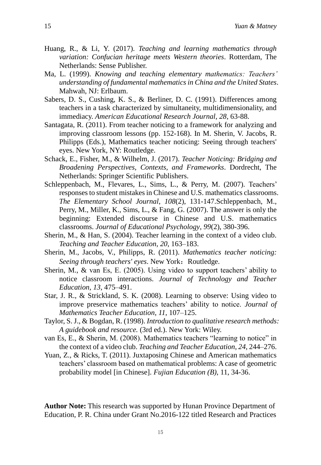- Huang, R., & Li, Y. (2017). *Teaching and learning mathematics through variation: Confucian heritage meets Western theories*. Rotterdam, The Netherlands: Sense Publisher.
- Ma, L. (1999). *Knowing and teaching elementary mathematics: Teachers' understanding of fundamental mathematics in China and the United States*. Mahwah, NJ: Erlbaum.
- Sabers, D. S., Cushing, K. S., & Berliner, D. C. (1991). Differences among teachers in a task characterized by simultaneity, multidimensionality, and immediacy. *American Educational Research Journal, 28*, 63-88.
- Santagata, R. (2011). From teacher noticing to a framework for analyzing and improving classroom lessons (pp. 152-168). In M. Sherin, V. Jacobs, R. Philipps (Eds.), Mathematics teacher noticing: Seeing through teachers' eyes. New York, NY: Routledge.
- Schack, E., Fisher, M., & Wilhelm, J. (2017). *Teacher Noticing: Bridging and Broadening Perspectives, Contexts, and Frameworks*. Dordrecht, The Netherlands: Springer Scientific Publishers.
- Schleppenbach, M., Flevares, L., Sims, L., & Perry, M. (2007). Teachers' responses to student mistakes in Chinese and U.S. mathematics classrooms. *The Elementary School Journal*, *108*(2), 131-147.Schleppenbach, M., Perry, M., Miller, K., Sims, L., & Fang, G. (2007). The answer is only the beginning: Extended discourse in Chinese and U.S. mathematics classrooms. *Journal of Educational Psychology*, *99*(2), 380-396.
- Sherin, M., & Han, S. (2004). Teacher learning in the context of a video club. *Teaching and Teacher Education*, *20*, 163–183.
- Sherin, M., Jacobs, V., Philipps, R. (2011). *Mathematics teacher noticing: Seeing through teachers' eyes.* New York: Routledge.
- Sherin, M., & van Es, E. (2005). Using video to support teachers' ability to notice classroom interactions. *Journal of Technology and Teacher Education*, *13*, 475–491.
- Star, J. R., & Strickland, S. K. (2008). Learning to observe: Using video to improve preservice mathematics teachers' ability to notice. *Journal of Mathematics Teacher Education*, *11*, 107–125.
- Taylor, S. J., & Bogdan, R. (1998). *Introduction to qualitative research methods: A guidebook and resource.* (3rd ed.). New York: Wiley.
- van Es, E., & Sherin, M. (2008). Mathematics teachers "learning to notice" in the context of a video club. *Teaching and Teacher Education*, *24*, 244–276.
- Yuan, Z., & Ricks, T. (2011). Juxtaposing Chinese and American mathematics teachers' classroom based on mathematical problems: A case of geometric probability model [in Chinese]. *Fujian Education (B)*, 11, 34-36.

**Author Note:** This research was supported by Hunan Province Department of Education, P. R. China under Grant No.2016-122 titled Research and Practices